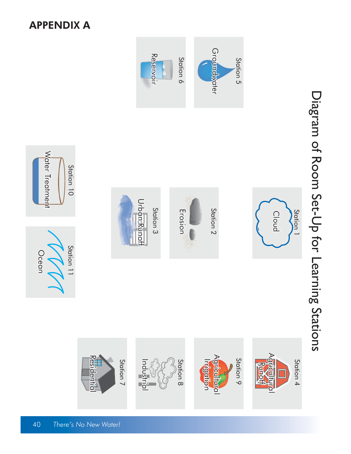#### APPENDIX A



Diagram of Room Set-Up for Learning Stations

Diagram of Room Set-Up for Learning Stations

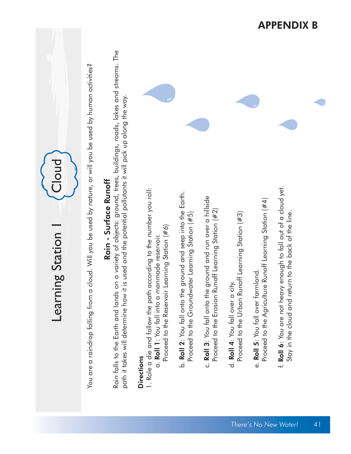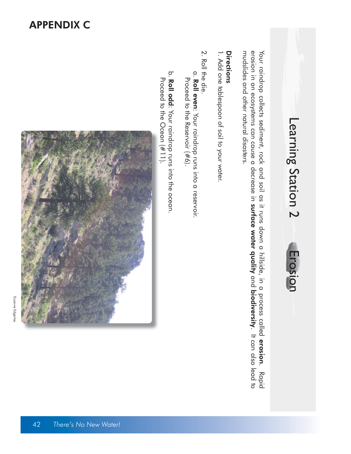### Learning Station 2 Learning Station 2 Erosion Erosion

erosion in an ecosystems can cause a decrease in surface water quality and biodiversity. It can also lead to mudslides and other natural disasters. Your raindrop collects sediment, rock and soil as it runs down a hillside, in a process called erosion. Rapid mudslides and other natural disasters. erosion in an ecosystems can cause a decrease in Your raindrop collects sediment, rock and soil as it runs down a hillside, in a process calledsurface water quality and biodiversity. It can also lead to erosion

### Directions Directions

1. Add one tablespoon of soil to your water. 1. Add one tablespoon of soil to your water.

- 2. Roll the die. 2. Roll the die.
- Proceed to the Reservoir (#6). a. a. Roll even: Your raindrop runs into a reservoir. Proceed to the Reservoir (#6). Roll even: Your raindrop runs into a reservoir.
- Proceed to the Ocean (#11). b. b. Roll odd: Your raindrop runs into the ocean. Proceed to the Ocean (#11). : Your raindrop runs into the ocean.

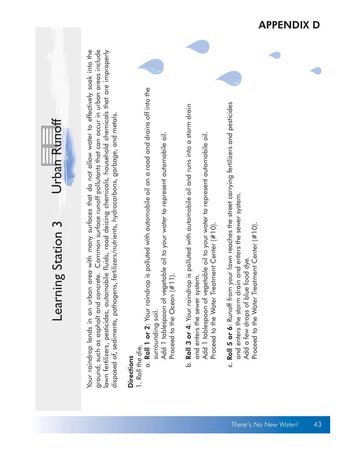|                                    |                                                                                                                                                                                                                                                                                                                                                                                                                                                  |                                                                                                                                                                                                                                                                            |                                                                                                                                                                                                                                                          | <b>APPENDIX</b>                                                                                                                                                                                                                              | D  |
|------------------------------------|--------------------------------------------------------------------------------------------------------------------------------------------------------------------------------------------------------------------------------------------------------------------------------------------------------------------------------------------------------------------------------------------------------------------------------------------------|----------------------------------------------------------------------------------------------------------------------------------------------------------------------------------------------------------------------------------------------------------------------------|----------------------------------------------------------------------------------------------------------------------------------------------------------------------------------------------------------------------------------------------------------|----------------------------------------------------------------------------------------------------------------------------------------------------------------------------------------------------------------------------------------------|----|
| Urban Runoff<br>Learning Station 3 | ground, such as asphalt and concrete. Common surface runoff pollutants that can occur in urban areas include<br>Your raindrop lands in an urban area with many surfaces that do not allow water to effectively soak into the<br>lawn fertilizers, pesticides, automobile fluids, road deicing chemicals, household chemicals that are improperly<br>disposed of, sediments, pathogens, fertilizers/nutrients, hydrocarbons, garbage, and metals. | a. Roll 1 or 2: Your raindrop is polluted with automobile oil on a road and drains off into the<br>Add 1 tablespoon of vegetable oil to your water to represent automobile oil.<br>Proceed to the Ocean (#11<br>surrounding soil.<br>1. Roll the die.<br><b>Directions</b> | b. Roll 3 or 4: Your raindrop is polluted with automobile oil and runs into a storm drain<br>Add 1 tablespoon of vegetable oil to your water to represent automobile oil.<br>Proceed to the Water Treatment Center (#10).<br>and enters the sewer system | c. Roll 5 or 6: Runoff from your lawn reaches the street carrying fertilizers and pesticides<br>and enters the storm drain and enters the sewer system.<br>Proceed to the Water Treatment Center (#10).<br>Add a few drops of blue food dye. |    |
|                                    |                                                                                                                                                                                                                                                                                                                                                                                                                                                  |                                                                                                                                                                                                                                                                            |                                                                                                                                                                                                                                                          | There's No New Water!                                                                                                                                                                                                                        | 43 |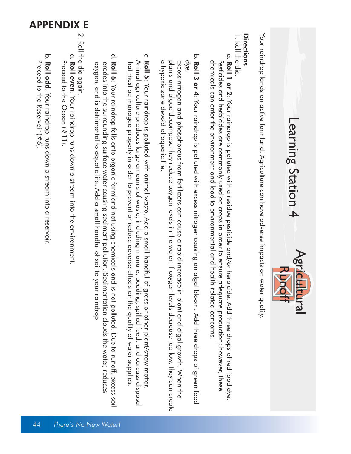# Learning Station 4 Learning Station 4<br>Learning Station 4



Your raindrop lands on active farmland. Agriculture can have adverse impacts on water quality. Your raindrop lands on active farmland. Agriculture can have adverse impacts on water quality.

#### Directions Directions

1. Roll the die. 1. Roll the die.

- chemicals can enter the environment and lead to environmental and health-related concerns. Pesticides and herbicides are commonly used on crops in order to ensure adequate production; however, these a. a. Roll 1 or 2: Your raindrop is polluted with a residue and/or herbicide and/or herbicide. Add three drops of red food dye. chemicals can enter the environment and lead to environmental and health-related concerns. Pesticides and herbicides are commonly used on crops in order to ensure adequate production; however, these Roll 1 or 2: Your raindrop is polluted with a residue pesticide and/or herbicide. Add three drops of red food dye.
- dye. b. b. Roll 3 or 4: Your raindrop is polluted with excess nitrogen causing an algal bloom. Add three drops of green food dye. Roll 3 or 4: Your raindrop is polluted with excess nitrogen causing an algal bloom. Add three drops of green food

 a hypoxic zone devoid of aquatic life. plants and algae decompose they reduce oxygen levels in the water. If oxygen levels decrease too low, they can create Excess nitrogen and phosphorous from fertilizers can cause a rapid increase in plant and algal growth. When the a hypoxic zone devoid of aquatic life plants and algae decompose they reduce oxygen levels in the water. It oxygen levels decrease too low, they can create Excess nitrogen and phosphorous from fertilizers can cause a rapid increase in plant and algal growth. When the

- that must be managed properly in order to prevent or reduce adverse effects on the quality of water supplies. Animal agriculture produces large amounts of waste, including manure, bedding, spilled feed, and carcass disposal c. c. Roll 5: Your raindrop is polluted with animal waste. Add a small handful of grass or other plant/straw matte that must be managed properly in order to prevent or reduce adverse ettects on the quality ot water supplies Animal agriculture produces large amounts ot waste, including manure, bedding, spilled teed, and carcass disposa : Your raindrop is polluted with animal waste. Add a small handful of grass or other plant/straw matter.
- oxygen, and is detrimental to aquatic life. Add a small handful of soil to your raindrop. erodes into the surrounding surface water causing sediment pollution. Sedimentation clouds the water, reduces d. <u>م</u>. Roll 6: Your raindrop falls onto organic farmland not using chemicals and is not polluted. Due to runoff, excess soi oxygen, and is detrimental to aquatic life. Add a small handful of soil to your raindrop erodes into the surrounding surface water causing sediment pollution. Sedimentation clouds the water, reduces : Your raindrop falls onto organic farmland not using chemicals and is not polluted. Due to runoff, excess soil

### APPENDIX E $\ddot{\circ}$ 2. Roll the die again. Roll the die again

- Proceed to the Ocean (#11). a. a. Roll even: Your raindrop runs down a stream into the environment Proceed to the Ocean  $(\#11)$ . Roll even: Your raindrop runs down a stream into the environment.
- Proceed to the Reservoir (#6). .<br>.<br>. ō. Proceed to the Reservoir (#6). Roll odd: Your raindrop runs down a stream into a reservoir. : Your raindrop runs down a stream into a reservoir.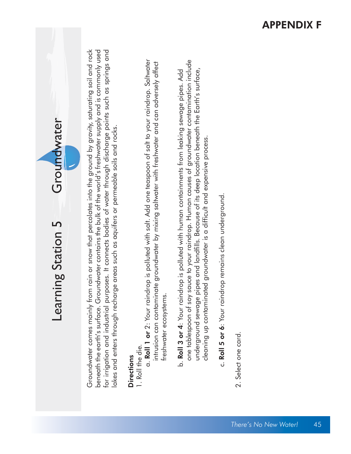| one tablespoon of soy sauce to your raindrop. Human causes of groundwater contamination include<br>a. Roll 1 or 2: Your raindrop is polluted with salt. Add one teaspoon of salt to your raindrop. Saltwater<br>intrusion can contaminate groundwater by mixing saltwater with freshwater and can adversely affect<br>underground sewage pipes and landfills. Because of its deep location beneath the Earth's surface,<br>b. <b>Roll 3 or 4</b> : Your raindrop is polluted with human containments from leaking sewage pipes. Add<br>Groundwater<br>lakes and enters through recharge areas such as aquifers or permeable soils and rocks.<br>cleaning up contaminated groundwater is a difficult and expensive process.<br>c. Roll 5 or 6: Your raindrop remains clean underground.<br>Learning Station 5<br>Groundwater comes mainly from<br>freshwater ecosystems.<br>2. Select one card.<br>1. Roll the die.<br><b>Directions</b> |                                                                                                                                                                                                                                                                                                                           |  | There's No New Water! | 45 |
|-----------------------------------------------------------------------------------------------------------------------------------------------------------------------------------------------------------------------------------------------------------------------------------------------------------------------------------------------------------------------------------------------------------------------------------------------------------------------------------------------------------------------------------------------------------------------------------------------------------------------------------------------------------------------------------------------------------------------------------------------------------------------------------------------------------------------------------------------------------------------------------------------------------------------------------------|---------------------------------------------------------------------------------------------------------------------------------------------------------------------------------------------------------------------------------------------------------------------------------------------------------------------------|--|-----------------------|----|
|                                                                                                                                                                                                                                                                                                                                                                                                                                                                                                                                                                                                                                                                                                                                                                                                                                                                                                                                         | rain or snow that percolates into the ground by gravity, saturating soil and rock<br>beneath the earth's surface. Groundwater contains the bulk of the world's freshwater supply and is commonly used<br>for irrigation and industrial purposes. It connects bodies of water through discharge points such as springs and |  |                       |    |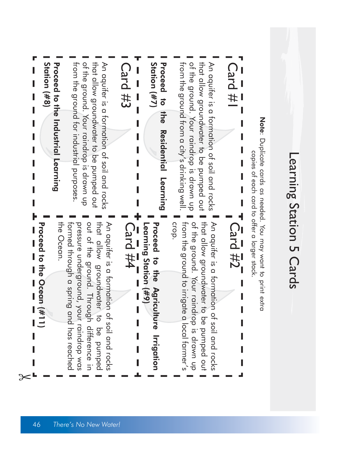| ת<br>מ         |
|----------------|
| <br> <br> <br> |
|                |
| j<br>Ć<br>г    |
|                |
| <u>טנטרוטו</u> |
|                |
| Ċ<br>٦         |
|                |
|                |
| <u>ည်</u>      |
|                |

Note: Duplicate cards as needed. You may want to print extra : Duplicate cards as needed. You may want to print extra copies of each card to offer a larger stack. copies of each card to offer a larger stack.

### Card #

ot the ground. that allow groundwater to be pumped out from the ground from a city's drinking well. An aquiter is a formation of soil and rocks from the ground from a city's drinking well. of the ground. Your raindrop is drawn up that allow groundwater to be pumped out An aquifer is a formation of soil and rocks Your raindrop is drawn up

Station  $(\#7)$ Proceed to Station  $(\#7)$ Proceed to the Residential Learning the Residential Learning

### Card #3

of the ground. Your raindrop is drawn up from the ground for industrial purposes. that allow groundwater to be pumped out An aquiter is a tormation ot soil and rocks from the ground for industrial purposes. of the ground. Your raindrop is drawn up that allow groundwater to be pumped out An aquifer is a formation of soil and rocks

Station (#8) **Proceed to the Industrial Learning** Station (#8) Proceed to the Industrial Learning

I

Π

### Card #2

That allow groundwater to be pumped out crop. of the ground. Your raindrop is drawn up An aquifer is a formation of soil and rocks from the ground to irrigate a local farmer's from the ground to irrigate a local farmer's of the ground. Your raindrop is drawn up that allow groundwater to be pumped out An aquifer is a formation of soil and rocks

Proceed to the Agriculture Irrigation Learning Station (#9) Learning Station (#9) Proceed to the Agriculture Irrigation Card #4 I Γ  $\overline{\phantom{a}}$ 

out of the ground. Through difference in that allow groundwater to be pumped the Ocean. An aquifer is a formation of soil and rocks the Ocean. formed through a spring and has reached formed through a spring and has reached pressure underground, your raindrop was out of the ground. Through difference in that allow groundwater to be pumped An aquifer is a formation of soil and rocks pressure underground, your raindrop was

Proceed to the Ocean (#11) Proceed to the Ocean (#11)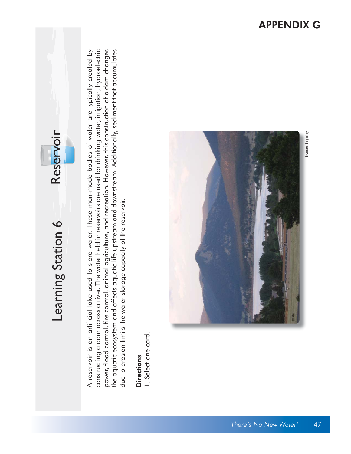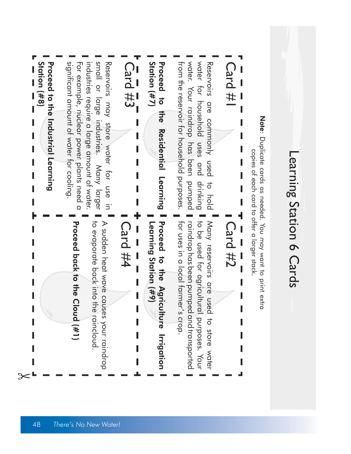|                                                                                                                                                                         | Station $($ #8)<br><b>Proceduation Industrial Learning</b>                                                                                                               |
|-------------------------------------------------------------------------------------------------------------------------------------------------------------------------|--------------------------------------------------------------------------------------------------------------------------------------------------------------------------|
| Proceed back to the Cloud (#1)                                                                                                                                          | significant amount of water for cooling.<br>For example, nuclear power plants need a                                                                                     |
| to exaporate pack into the rainclocal<br>A sudden heat wave causes your raindrop                                                                                        | small or large industries. Many larger<br>Reservoirs may store work tor cse in<br>industries require a large amount of water.                                            |
| <b>Card #4</b>                                                                                                                                                          | $\bar{C}$ ard #3<br>I                                                                                                                                                    |
| Proceed to the Agric<br>Learning Station (#9)<br>lture Irrigation                                                                                                       | Station (#7)<br>Proceed to<br>the<br><b>Residential</b><br>Learning                                                                                                      |
| for uses in a local farmer's crop.<br>raindrop has been pumped and transported<br>to be used for agricultural purposes. Your<br>Many reservoirs are used to store water | water. You raindrop has been pornped<br>water tor pocsebold cses and<br>from the reservoir for household purposes<br>Reservoirs are commonly used<br>drinking<br>bloh ot |
| Card #2                                                                                                                                                                 | <b>Card #</b>                                                                                                                                                            |
|                                                                                                                                                                         | Note: Duplicate cards as needed. You may sent to print extra<br>copies of each card to offer a larger stack.                                                             |

Learning Station 6 Cards

Learning Station 6 Cards

<sup>48</sup>*There's No New Water!*

 $\approx$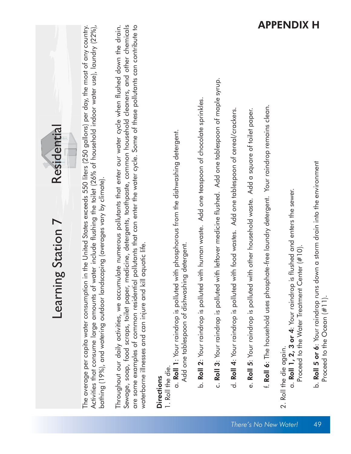|                                   |                                                                                                                                                                                                                                                                                                                                                      |                                                                                                                                                                                                                                                                                                                                                                                                                                                                   |                                                                                                                                                                                  |                                                                                                 |                                                                                                         |                                                                                                     |                                                                                                |                                                                                                      | APPENDIX                                                                                                                                                    | Ħ                                                                                                              |
|-----------------------------------|------------------------------------------------------------------------------------------------------------------------------------------------------------------------------------------------------------------------------------------------------------------------------------------------------------------------------------------------------|-------------------------------------------------------------------------------------------------------------------------------------------------------------------------------------------------------------------------------------------------------------------------------------------------------------------------------------------------------------------------------------------------------------------------------------------------------------------|----------------------------------------------------------------------------------------------------------------------------------------------------------------------------------|-------------------------------------------------------------------------------------------------|---------------------------------------------------------------------------------------------------------|-----------------------------------------------------------------------------------------------------|------------------------------------------------------------------------------------------------|------------------------------------------------------------------------------------------------------|-------------------------------------------------------------------------------------------------------------------------------------------------------------|----------------------------------------------------------------------------------------------------------------|
| Residential<br>Learning Station 7 | in the United States exceeds 550 liters (250 gallons) per day, the most of any country.<br>Activities that consume large amounts of water include flushing the toilet (26% of household indoor water use), laundry (22%),<br>bathing (19%), and watering outdoor landscaping (averages vary by climate).<br>The average per capita water consumption | ulate numerous pollutants that enter our water cycle when flushed down the drain.<br>Sewage, soap, food scraps, toilet paper, medicine, detergents, toothpaste, common household cleaners, and other chemicals<br>pollutants that can enter the water cycle. Some of these pollutants can contribute to<br>I aquatic life.<br>Throughout our daily activities, we accum<br>are some examples of common residential<br>waterborne illnesses and can injure and kil | with phosphorous from the dishwashing detergent.<br>Add one tablespoon of dishwashing detergent<br>a. Roll 1: Your raindrop is polluted<br>1. Roll the die.<br><b>Directions</b> | b. Roll 2: Your raindrop is polluted with human waste. Add one teaspoon of chocolate sprinkles. | c. Roll 3: Your raindrop is polluted with leftover medicine flushed. Add one tablespoon of maple syrup. | Add one tablespoon of cereal/crackers.<br>with food wastes.<br>d. Roll 4: Your raindrop is polluted | e. Roll 5: Your raindrop is polluted with other household waste. Add a square of toilet paper. | f. <b>Roll 6</b> : The household uses phosphate-free laundry detergent. Your raindrop remains clean. | s flushed and enters the sewer.<br>Proceed to the Water Treatment Center $(\#10)$ .<br>a. Roll $1, 2, 3$ or $4$ : Your raindrop i<br>2. Roll the die again. | lown a storm drain into the environment<br>b. Roll 5 or 6: Your raindrop runs d<br>Proceed to the Ocean (#11). |
|                                   |                                                                                                                                                                                                                                                                                                                                                      |                                                                                                                                                                                                                                                                                                                                                                                                                                                                   |                                                                                                                                                                                  |                                                                                                 |                                                                                                         |                                                                                                     |                                                                                                |                                                                                                      | There's No New Water!                                                                                                                                       | 49                                                                                                             |

APPENDIX H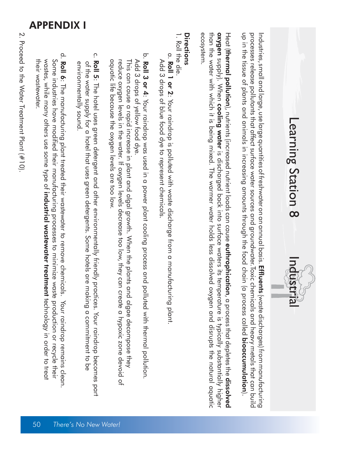



processes release pollutants that affect surface water sources and groundwater.Toxic chemicals and heavy metals that can build<br>up in the tissue of plants and animals in increasing amounts through the food chain (a process Industries, small and large, use large quantities of freshwater on an annual basis. **Effluents** (waste discharges) from manufacturing up in the tissue of plants and animals in increasing amounts through the food chain (a process called processes release pollutants that affect surface water sources and groundwater.Toxic chemicals and heavy metals that can build Industries, small and large, use large quantities of freshwater on an annual basis. Effluents (waste discharges) from manufacturing bioaccumulation

ecosystem. than the water which it is being mixed. The water holds less dissolved oxygen and a bisrupts the natural aquatic **oxygen** supply). When **cooling water** is discharged back into surface waters its temperature is typically substantially higher Heat (**thermal polluti**o**n**), nutrients (increased nutrient loads can cause **euthrophication**, a process that depletes the **dissolved** than the water with which it is being mixed. The warmer water holds less dissolved oxygen and disrupts the natural aquatic ecosystem. thermal pollution supply). When cooling water is discharged back into surface waters its temperature is typically substantially higher ), nutrients (increased nutrient loads can cause euthrophication, a process that depletes the dissolved

#### Directions Directions

- 1. Roll the die. 1. Roll the die.
- Add 3 drops of blue food dye to represent chemicals. a. a. Roll 1 or 2: Your raindrop is polluted with waste discharge from a manufacturing plant Add 3 drops of blue food dye to represent chemicals. Roll 1 or 2: Your raindrop is polluted with waste discharge from a manufacturing plant.
- Add 3 drops of yellow food dye. b. b. Roll 3 or 4: Your raindrop was used in a power plant cooling process and polluted with thermal pollution. Add 3 drops of yellow food dye. Roll 3 or 4: Your raindrop was used in a power plant cooling process and polluted with thermal pollution.
- aquatic life because the oxygen levels are too low. reduce oxygen levels in the water. If oxygen levels decrease too low, they can create a hypoxic zone devoid of This can cause a rapid increase in plant and algal growth. When the plants and algae decompose they aquatic lite because the oxygen levels are too low. reduce oxygen levels in the water. If oxygen levels decrease too low, they can create a hypoxic zone devoid of This can cause a rapid increase in plant and algal growth. When the plants and algae decompose they
- environmentally sound. of the water supply for a hotel that uses green detergents. Some hotels are making a commitment to be c. c. **Roll 5**: The hotel uses green detergent and other environmentally friendly practices. Your raindrop becomes part environmentally sound ot the water supply tor a hotel that uses green detergents. Some hotels are making a commitment to be : The hotel uses green detergent and other environmentally friendly practices. Your raindrop becomes part
- their wastewater. wastes, while many others use some type of Some industries have modified their manufacturing processes to minimize waste production or recycle their d. d. Roll 6: The manufacturing plant treated their wastewater to remove chemicals. Your raindrop remains clean. their wastewater wastes, while many others use some type of industrial wastewater treatment technology in order to treat Some industries have modified their manufacturing processes to minimize waste production or recycle their : The manufacturing plant treated their wastewater to remove chemicals. Your raindrop remains clean. industrial wastewater treatmenttechnology in order to treat

APPENDIX I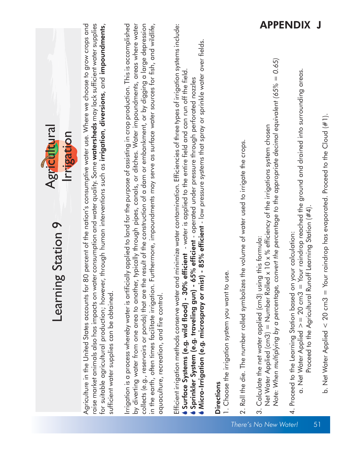| Agricultural<br>Irrigation<br>Learning Station 9                                                                                                                                                                                                                                                                                                                                                                                                                                                                                                                                                                   |                 |
|--------------------------------------------------------------------------------------------------------------------------------------------------------------------------------------------------------------------------------------------------------------------------------------------------------------------------------------------------------------------------------------------------------------------------------------------------------------------------------------------------------------------------------------------------------------------------------------------------------------------|-----------------|
| raise market animals also has impacts on water consumption and water quality. Some <b>watersheds</b> may lack sufficient water supplies<br>for suitable agricultural production; however, through human interventions such as <b>irrigation, diversions</b> , and <b>impoundments</b> ,<br>Agriculture in the United States accounts for 80 percent of the nation's consumptive water use. Where we choose to grow crops and<br>sutticient water supplies can be obtained.                                                                                                                                         |                 |
| by diverting water from one area to another, typically through pipes, canals, or ditches. Water impoundments, areas where water<br>Irrigation is a process whereby water is artificially applied to land for the purpose of assisting in crop production. This is accomplished<br>collects (e.g., reservoirs or ponds) that are the result of the construction of a dam or embankment, or by digging a large depression<br>urthermore, impoundments may serve as surface water sources for fish, and wildlife,<br>in the earth, often times facilitate irrigation. F<br>aquaculture, recreation, and fire control. |                 |
| Efficient irrigation methods conserve water and minimize water contamination. Efficiencies of three types of irrigation systems include:<br>$\eta$ - 85% efficient - low pressure systems that spray or sprinkle water over fields.<br><b>efficient</b> - water is applied to the entire field and can run off the field<br>5% efficient - operated under pressure through perforated nozzles<br>Sprinkler System (e.g. traveling gun) - 6<br>Micro-Irrigation (e.g. microspray or mist<br>Surface Systems (e.g. wild flood) - 30%                                                                                 |                 |
| 1. Choose the irrigation system you want to use.<br><b>Directions</b>                                                                                                                                                                                                                                                                                                                                                                                                                                                                                                                                              |                 |
| the volume of water used to irrigate the crops.<br>2. Roll the die. The number rolled symbolizes                                                                                                                                                                                                                                                                                                                                                                                                                                                                                                                   |                 |
| Note: When multiplying by a percentage, convert the percentage to the appropriate decimal equivalent (65% = 0.65)<br>Net Water Applied (cm3) = Number Rolled x 10 x % efficiency of the irrigations system chosen<br>3. Calculate the net water applied (cm3) using this formula:<br>There's No New Water!                                                                                                                                                                                                                                                                                                         |                 |
| a. Net Water Applied $>= 20$ cm3 $=$ Your raindrop reached the ground and drained into surrounding areas.<br>Proceed to the Agricultural Runoff Learning Station $(\#4)$<br>4. Proceed to the Learning Station based on your calculation:                                                                                                                                                                                                                                                                                                                                                                          | <b>APPENDIX</b> |
| b. Net Water Applied $<$ 20 cm3 = Your raindrop has evaporated. Proceed to the Cloud (#1).<br>51                                                                                                                                                                                                                                                                                                                                                                                                                                                                                                                   | J               |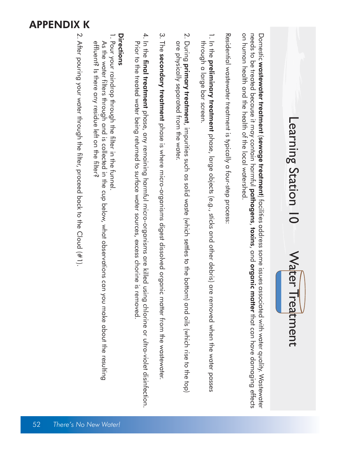#### APPENDIX K

## Learning Station 10 Learning Station 10 Water Treatment Water Treatment

on human health and the health of the local watershed Domestic wastewater treatment (sewage treatment) facilities address some issues associated with water quality. Wastewater on human health and the health of the local watershed. needs to be treated because it may contain harmful Domestic wastewater treatmentsewage treatmentpathogens) facilities address some issues associated with water quality. Wastewater , toxins, and organic matter that can have damaging effects

Residential wastewater treatment is typically a four-step process Residential wastewater treatment is typically a four-step process:

- through a large bar screen. 1. In the **preliminary treatment** phase, large objects (e.g., sticks and other debris) are removed when the water passes through a large bar screen. preliminary treatmentphase, large objects (e.g., sticks and other debris) are removed when the water passes
- 2. During primary treatment, impurities such as solid wate (which settles to the bottom) and oils (which rise to the top) are physically separated from the water. are physically separated trom the water. primary treatment, impurities such as solid waste (which settles to the bottom) and oils (which rise to the top)
- 3. The secondary treatment phase is where micro-organisms digest dissolved organic matter from the wastewater secondary treatmentphase is where micro-organisms digest dissolved organic matter from the wastewater.
- 4. In the final treatment phase, any remaining harmful micro-organisms are killed using chlorine or ultra-violet disinfection. Prior to the treated water being returned to surface water sources, excess chorine is removed. 4. In the Prior to the treated water being returned to surface water sources, excess chorine is removed final treatmentphase, any remaining harmful micro-organisms are killed using chlorine or ultra-violet disinfection.

### Directions Directions

- 1. Pour your raindrop through the filter in the constance 1. Pour your raindrop through the filter in the funnel.
- effluent? Is there any residue left on the filter? As the water filters through and is collected in the cup below, what observations can you make about the resulting effluent? Is there any residue left on the filter? As the water filters through and is collected in the cup below, what observations can you make about the resulting
- 2. After pouring your water through the filter, proceed back to the Cloud  $(\#1)$ . 2. After pouring your water through the filter, proceed back to the Cloud (#1).